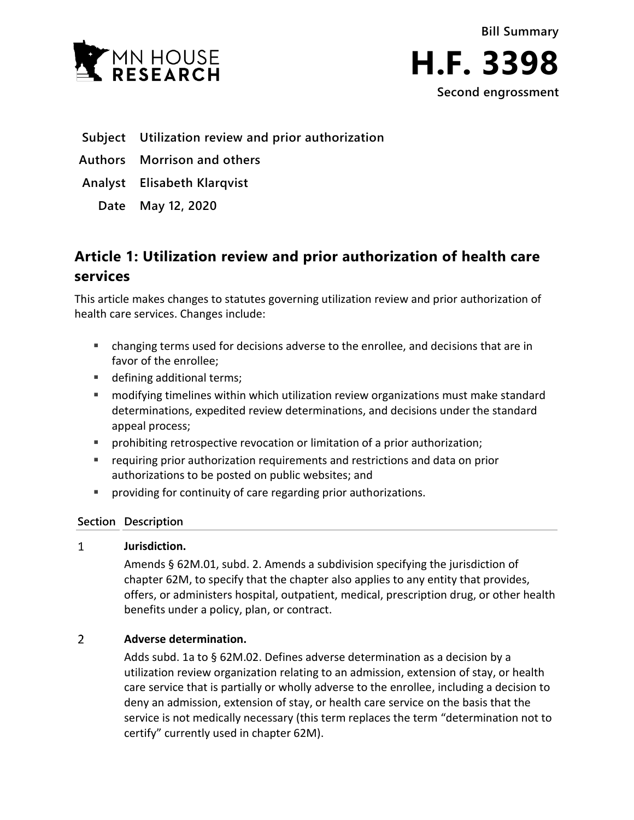



- **Subject Utilization review and prior authorization**
- **Authors Morrison and others**

**Analyst Elisabeth Klarqvist**

**Date May 12, 2020**

# **Article 1: Utilization review and prior authorization of health care services**

This article makes changes to statutes governing utilization review and prior authorization of health care services. Changes include:

- changing terms used for decisions adverse to the enrollee, and decisions that are in favor of the enrollee;
- defining additional terms;
- modifying timelines within which utilization review organizations must make standard determinations, expedited review determinations, and decisions under the standard appeal process;
- prohibiting retrospective revocation or limitation of a prior authorization;
- **•** requiring prior authorization requirements and restrictions and data on prior authorizations to be posted on public websites; and
- providing for continuity of care regarding prior authorizations.

## **Section Description**

#### $\mathbf{1}$ **Jurisdiction.**

Amends § 62M.01, subd. 2. Amends a subdivision specifying the jurisdiction of chapter 62M, to specify that the chapter also applies to any entity that provides, offers, or administers hospital, outpatient, medical, prescription drug, or other health benefits under a policy, plan, or contract.

#### $\overline{2}$ **Adverse determination.**

Adds subd. 1a to § 62M.02. Defines adverse determination as a decision by a utilization review organization relating to an admission, extension of stay, or health care service that is partially or wholly adverse to the enrollee, including a decision to deny an admission, extension of stay, or health care service on the basis that the service is not medically necessary (this term replaces the term "determination not to certify" currently used in chapter 62M).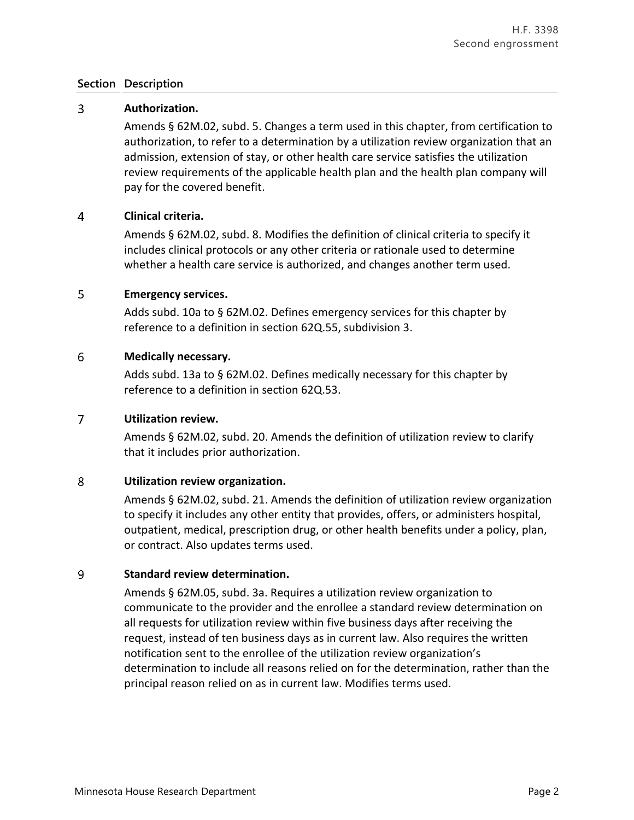#### $\overline{3}$ **Authorization.**

Amends § 62M.02, subd. 5. Changes a term used in this chapter, from certification to authorization, to refer to a determination by a utilization review organization that an admission, extension of stay, or other health care service satisfies the utilization review requirements of the applicable health plan and the health plan company will pay for the covered benefit.

#### $\overline{4}$ **Clinical criteria.**

Amends § 62M.02, subd. 8. Modifies the definition of clinical criteria to specify it includes clinical protocols or any other criteria or rationale used to determine whether a health care service is authorized, and changes another term used.

#### 5 **Emergency services.**

Adds subd. 10a to § 62M.02. Defines emergency services for this chapter by reference to a definition in section 62Q.55, subdivision 3.

#### 6 **Medically necessary.**

Adds subd. 13a to § 62M.02. Defines medically necessary for this chapter by reference to a definition in section 62Q.53.

#### $\overline{7}$ **Utilization review.**

Amends § 62M.02, subd. 20. Amends the definition of utilization review to clarify that it includes prior authorization.

#### 8 **Utilization review organization.**

Amends § 62M.02, subd. 21. Amends the definition of utilization review organization to specify it includes any other entity that provides, offers, or administers hospital, outpatient, medical, prescription drug, or other health benefits under a policy, plan, or contract. Also updates terms used.

#### 9 **Standard review determination.**

Amends § 62M.05, subd. 3a. Requires a utilization review organization to communicate to the provider and the enrollee a standard review determination on all requests for utilization review within five business days after receiving the request, instead of ten business days as in current law. Also requires the written notification sent to the enrollee of the utilization review organization's determination to include all reasons relied on for the determination, rather than the principal reason relied on as in current law. Modifies terms used.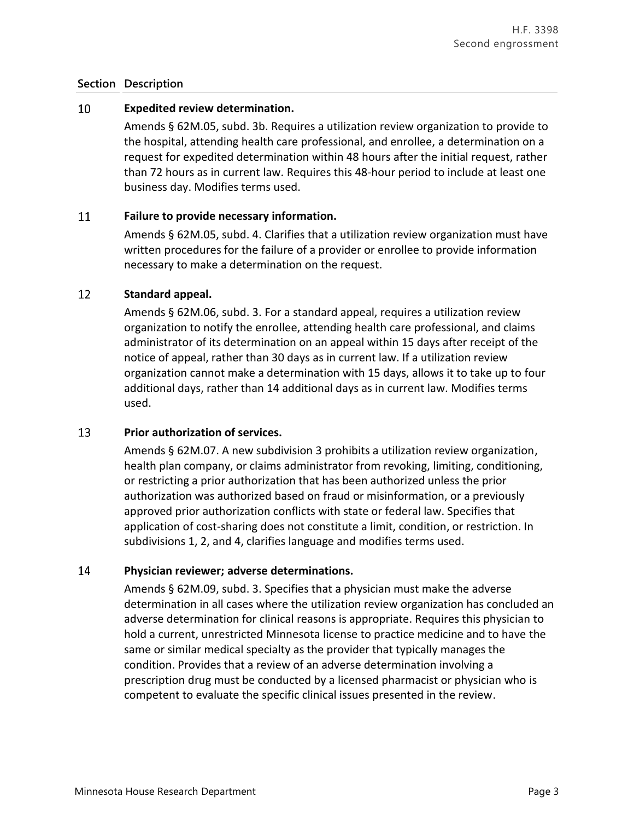#### 10 **Expedited review determination.**

Amends § 62M.05, subd. 3b. Requires a utilization review organization to provide to the hospital, attending health care professional, and enrollee, a determination on a request for expedited determination within 48 hours after the initial request, rather than 72 hours as in current law. Requires this 48-hour period to include at least one business day. Modifies terms used.

#### 11 **Failure to provide necessary information.**

Amends § 62M.05, subd. 4. Clarifies that a utilization review organization must have written procedures for the failure of a provider or enrollee to provide information necessary to make a determination on the request.

#### 12 **Standard appeal.**

Amends § 62M.06, subd. 3. For a standard appeal, requires a utilization review organization to notify the enrollee, attending health care professional, and claims administrator of its determination on an appeal within 15 days after receipt of the notice of appeal, rather than 30 days as in current law. If a utilization review organization cannot make a determination with 15 days, allows it to take up to four additional days, rather than 14 additional days as in current law. Modifies terms used.

#### 13 **Prior authorization of services.**

Amends § 62M.07. A new subdivision 3 prohibits a utilization review organization, health plan company, or claims administrator from revoking, limiting, conditioning, or restricting a prior authorization that has been authorized unless the prior authorization was authorized based on fraud or misinformation, or a previously approved prior authorization conflicts with state or federal law. Specifies that application of cost-sharing does not constitute a limit, condition, or restriction. In subdivisions 1, 2, and 4, clarifies language and modifies terms used.

#### 14 **Physician reviewer; adverse determinations.**

Amends § 62M.09, subd. 3. Specifies that a physician must make the adverse determination in all cases where the utilization review organization has concluded an adverse determination for clinical reasons is appropriate. Requires this physician to hold a current, unrestricted Minnesota license to practice medicine and to have the same or similar medical specialty as the provider that typically manages the condition. Provides that a review of an adverse determination involving a prescription drug must be conducted by a licensed pharmacist or physician who is competent to evaluate the specific clinical issues presented in the review.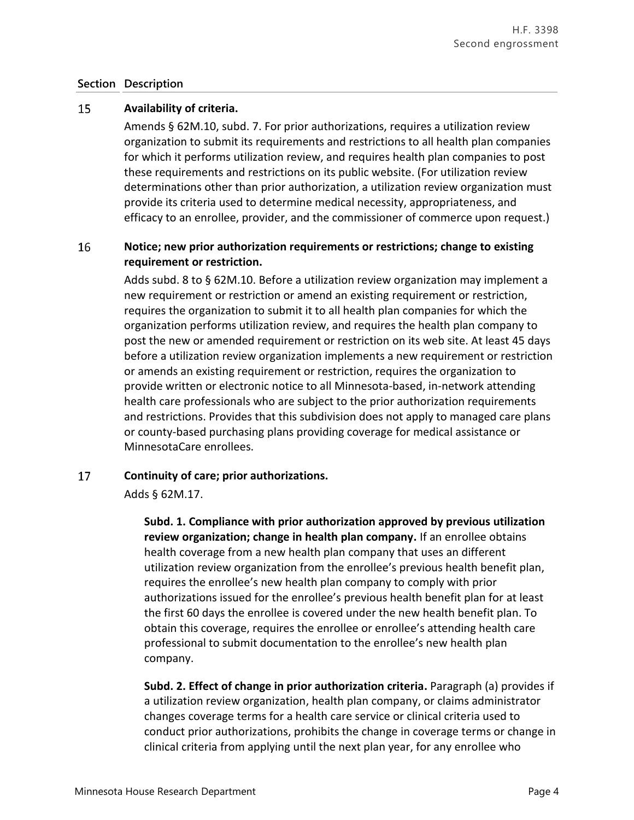#### 15 **Availability of criteria.**

Amends § 62M.10, subd. 7. For prior authorizations, requires a utilization review organization to submit its requirements and restrictions to all health plan companies for which it performs utilization review, and requires health plan companies to post these requirements and restrictions on its public website. (For utilization review determinations other than prior authorization, a utilization review organization must provide its criteria used to determine medical necessity, appropriateness, and efficacy to an enrollee, provider, and the commissioner of commerce upon request.)

### 16 **Notice; new prior authorization requirements or restrictions; change to existing requirement or restriction.**

Adds subd. 8 to § 62M.10. Before a utilization review organization may implement a new requirement or restriction or amend an existing requirement or restriction, requires the organization to submit it to all health plan companies for which the organization performs utilization review, and requires the health plan company to post the new or amended requirement or restriction on its web site. At least 45 days before a utilization review organization implements a new requirement or restriction or amends an existing requirement or restriction, requires the organization to provide written or electronic notice to all Minnesota-based, in-network attending health care professionals who are subject to the prior authorization requirements and restrictions. Provides that this subdivision does not apply to managed care plans or county-based purchasing plans providing coverage for medical assistance or MinnesotaCare enrollees.

#### 17 **Continuity of care; prior authorizations.**

Adds § 62M.17.

**Subd. 1. Compliance with prior authorization approved by previous utilization review organization; change in health plan company.** If an enrollee obtains health coverage from a new health plan company that uses an different utilization review organization from the enrollee's previous health benefit plan, requires the enrollee's new health plan company to comply with prior authorizations issued for the enrollee's previous health benefit plan for at least the first 60 days the enrollee is covered under the new health benefit plan. To obtain this coverage, requires the enrollee or enrollee's attending health care professional to submit documentation to the enrollee's new health plan company.

**Subd. 2. Effect of change in prior authorization criteria.** Paragraph (a) provides if a utilization review organization, health plan company, or claims administrator changes coverage terms for a health care service or clinical criteria used to conduct prior authorizations, prohibits the change in coverage terms or change in clinical criteria from applying until the next plan year, for any enrollee who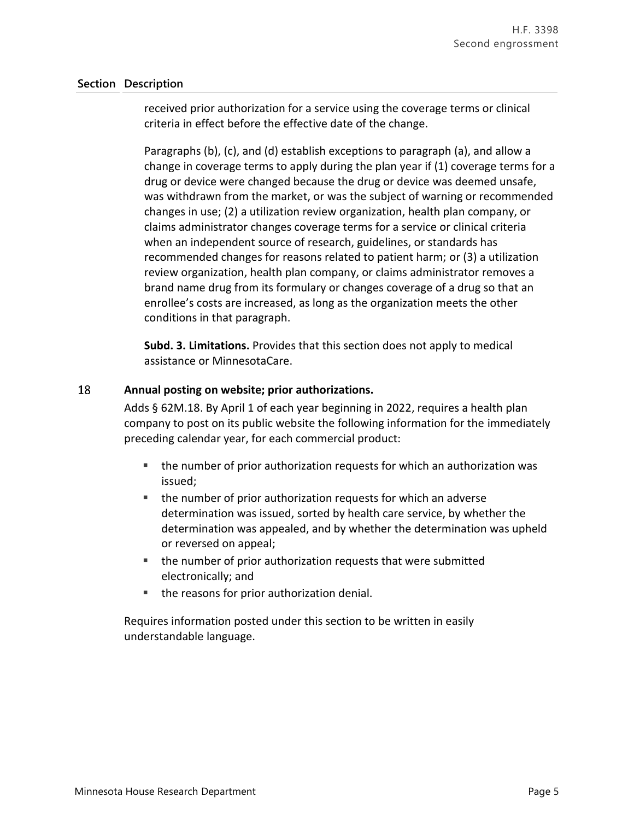received prior authorization for a service using the coverage terms or clinical criteria in effect before the effective date of the change.

Paragraphs (b), (c), and (d) establish exceptions to paragraph (a), and allow a change in coverage terms to apply during the plan year if (1) coverage terms for a drug or device were changed because the drug or device was deemed unsafe, was withdrawn from the market, or was the subject of warning or recommended changes in use; (2) a utilization review organization, health plan company, or claims administrator changes coverage terms for a service or clinical criteria when an independent source of research, guidelines, or standards has recommended changes for reasons related to patient harm; or (3) a utilization review organization, health plan company, or claims administrator removes a brand name drug from its formulary or changes coverage of a drug so that an enrollee's costs are increased, as long as the organization meets the other conditions in that paragraph.

**Subd. 3. Limitations.** Provides that this section does not apply to medical assistance or MinnesotaCare.

#### 18 **Annual posting on website; prior authorizations.**

Adds § 62M.18. By April 1 of each year beginning in 2022, requires a health plan company to post on its public website the following information for the immediately preceding calendar year, for each commercial product:

- the number of prior authorization requests for which an authorization was issued;
- the number of prior authorization requests for which an adverse determination was issued, sorted by health care service, by whether the determination was appealed, and by whether the determination was upheld or reversed on appeal;
- the number of prior authorization requests that were submitted electronically; and
- the reasons for prior authorization denial.

Requires information posted under this section to be written in easily understandable language.